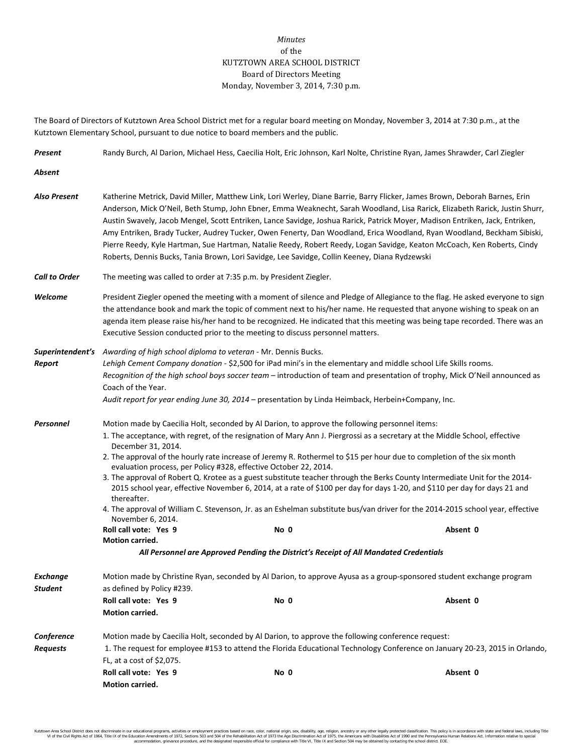## *Minutes* of the KUTZTOWN AREA SCHOOL DISTRICT Board of Directors Meeting Monday, November 3, 2014, 7:30 p.m.

The Board of Directors of Kutztown Area School District met for a regular board meeting on Monday, November 3, 2014 at 7:30 p.m., at the Kutztown Elementary School, pursuant to due notice to board members and the public.

*Present* Randy Burch, Al Darion, Michael Hess, Caecilia Holt, Eric Johnson, Karl Nolte, Christine Ryan, James Shrawder, Carl Ziegler *Absent Also Present* Katherine Metrick, David Miller, Matthew Link, Lori Werley, Diane Barrie, Barry Flicker, James Brown, Deborah Barnes, Erin Anderson, Mick O'Neil, Beth Stump, John Ebner, Emma Weaknecht, Sarah Woodland, Lisa Rarick, Elizabeth Rarick, Justin Shurr, Austin Swavely, Jacob Mengel, Scott Entriken, Lance Savidge, Joshua Rarick, Patrick Moyer, Madison Entriken, Jack, Entriken, Amy Entriken, Brady Tucker, Audrey Tucker, Owen Fenerty, Dan Woodland, Erica Woodland, Ryan Woodland, Beckham Sibiski, Pierre Reedy, Kyle Hartman, Sue Hartman, Natalie Reedy, Robert Reedy, Logan Savidge, Keaton McCoach, Ken Roberts, Cindy Roberts, Dennis Bucks, Tania Brown, Lori Savidge, Lee Savidge, Collin Keeney, Diana Rydzewski *Call to Order* The meeting was called to order at 7:35 p.m. by President Ziegler. Welcome **President Ziegler opened the meeting with a** moment of silence and Pledge of Allegiance to the flag. He asked everyone to sign the attendance book and mark the topic of comment next to his/her name. He requested that anyone wishing to speak on an agenda item please raise his/her hand to be recognized. He indicated that this meeting was being tape recorded. There was an Executive Session conducted prior to the meeting to discuss personnel matters. *Superintendent's Awarding of high school diploma to veteran* - Mr. Dennis Bucks. *Report Lehigh Cement Company donation* - \$2,500 for iPad mini's in the elementary and middle school Life Skills rooms. *Recognition of the high school boys soccer team* – introduction of team and presentation of trophy, Mick O'Neil announced as Coach of the Year. *Audit report for year ending June 30, 2014* – presentation by Linda Heimback, Herbein+Company, Inc. *Personnel* Motion made by Caecilia Holt, seconded by Al Darion, to approve the following personnel items: 1. The acceptance, with regret, of the resignation of Mary Ann J. Piergrossi as a secretary at the Middle School, effective December 31, 2014. 2. The approval of the hourly rate increase of Jeremy R. Rothermel to \$15 per hour due to completion of the six month evaluation process, per Policy #328, effective October 22, 2014. 3. The approval of Robert Q. Krotee as a guest substitute teacher through the Berks County Intermediate Unit for the 2014- 2015 school year, effective November 6, 2014, at a rate of \$100 per day for days 1-20, and \$110 per day for days 21 and thereafter. 4. The approval of William C. Stevenson, Jr. as an Eshelman substitute bus/van driver for the 2014-2015 school year, effective November 6, 2014. **Roll call vote: Yes 9 No 0 Absent 0 Motion carried.** *All Personnel are Approved Pending the District's Receipt of All Mandated Credentials* **Exchange** Motion made by Christine Ryan, seconded by Al Darion, to approve Ayusa as a group-sponsored student exchange program *Student* as defined by Policy #239. **Roll call vote: Yes 9 No 0 Absent 0** **Motion carried.** *Conference* Motion made by Caecilia Holt, seconded by Al Darion, to approve the following conference request: *Requests* 1. The request for employee #153 to attend the Florida Educational Technology Conference on January 20-23, 2015 in Orlando, FL, at a cost of \$2,075. **Roll call vote: Yes 9 No 0 Absent 0 Motion carried.**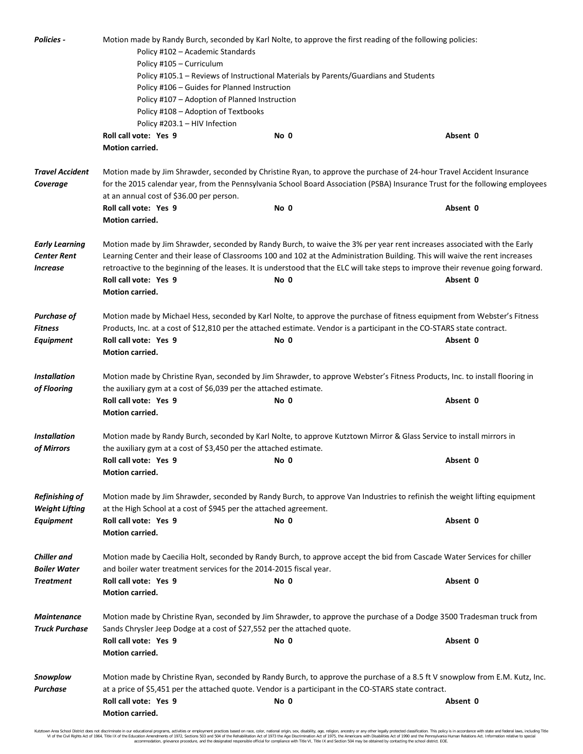| Policies -                                                            | Motion made by Randy Burch, seconded by Karl Nolte, to approve the first reading of the following policies:<br>Policy #102 - Academic Standards<br>Policy #105 - Curriculum                                                                                                                                                                                                                                                                                  |      |                                                                                                                          |  |  |                                    |                                                                                                                                                                                                                                                                                                    |      |          |  |  |
|-----------------------------------------------------------------------|--------------------------------------------------------------------------------------------------------------------------------------------------------------------------------------------------------------------------------------------------------------------------------------------------------------------------------------------------------------------------------------------------------------------------------------------------------------|------|--------------------------------------------------------------------------------------------------------------------------|--|--|------------------------------------|----------------------------------------------------------------------------------------------------------------------------------------------------------------------------------------------------------------------------------------------------------------------------------------------------|------|----------|--|--|
|                                                                       | Policy #105.1 – Reviews of Instructional Materials by Parents/Guardians and Students<br>Policy #106 - Guides for Planned Instruction<br>Policy #107 - Adoption of Planned Instruction<br>Policy #108 - Adoption of Textbooks<br>Policy #203.1 - HIV Infection                                                                                                                                                                                                |      |                                                                                                                          |  |  |                                    |                                                                                                                                                                                                                                                                                                    |      |          |  |  |
|                                                                       |                                                                                                                                                                                                                                                                                                                                                                                                                                                              |      |                                                                                                                          |  |  |                                    | Roll call vote: Yes 9                                                                                                                                                                                                                                                                              | No 0 | Absent 0 |  |  |
|                                                                       |                                                                                                                                                                                                                                                                                                                                                                                                                                                              |      |                                                                                                                          |  |  |                                    | Motion carried.                                                                                                                                                                                                                                                                                    |      |          |  |  |
|                                                                       |                                                                                                                                                                                                                                                                                                                                                                                                                                                              |      |                                                                                                                          |  |  | <b>Travel Accident</b><br>Coverage | Motion made by Jim Shrawder, seconded by Christine Ryan, to approve the purchase of 24-hour Travel Accident Insurance<br>for the 2015 calendar year, from the Pennsylvania School Board Association (PSBA) Insurance Trust for the following employees<br>at an annual cost of \$36.00 per person. |      |          |  |  |
|                                                                       |                                                                                                                                                                                                                                                                                                                                                                                                                                                              |      |                                                                                                                          |  |  |                                    | Roll call vote: Yes 9                                                                                                                                                                                                                                                                              | No 0 | Absent 0 |  |  |
| Motion carried.                                                       |                                                                                                                                                                                                                                                                                                                                                                                                                                                              |      |                                                                                                                          |  |  |                                    |                                                                                                                                                                                                                                                                                                    |      |          |  |  |
| <b>Early Learning</b><br><b>Center Rent</b><br><i><b>Increase</b></i> | Motion made by Jim Shrawder, seconded by Randy Burch, to waive the 3% per year rent increases associated with the Early<br>Learning Center and their lease of Classrooms 100 and 102 at the Administration Building. This will waive the rent increases<br>retroactive to the beginning of the leases. It is understood that the ELC will take steps to improve their revenue going forward.<br>Roll call vote: Yes 9<br>Absent 0<br>No 0<br>Motion carried. |      |                                                                                                                          |  |  |                                    |                                                                                                                                                                                                                                                                                                    |      |          |  |  |
| Purchase of                                                           |                                                                                                                                                                                                                                                                                                                                                                                                                                                              |      | Motion made by Michael Hess, seconded by Karl Nolte, to approve the purchase of fitness equipment from Webster's Fitness |  |  |                                    |                                                                                                                                                                                                                                                                                                    |      |          |  |  |
| <b>Fitness</b>                                                        | Products, Inc. at a cost of \$12,810 per the attached estimate. Vendor is a participant in the CO-STARS state contract.                                                                                                                                                                                                                                                                                                                                      |      |                                                                                                                          |  |  |                                    |                                                                                                                                                                                                                                                                                                    |      |          |  |  |
| <b>Equipment</b>                                                      | Roll call vote: Yes 9<br>Motion carried.                                                                                                                                                                                                                                                                                                                                                                                                                     | No 0 | Absent 0                                                                                                                 |  |  |                                    |                                                                                                                                                                                                                                                                                                    |      |          |  |  |
| <b>Installation</b>                                                   |                                                                                                                                                                                                                                                                                                                                                                                                                                                              |      |                                                                                                                          |  |  |                                    |                                                                                                                                                                                                                                                                                                    |      |          |  |  |
| of Flooring                                                           | Motion made by Christine Ryan, seconded by Jim Shrawder, to approve Webster's Fitness Products, Inc. to install flooring in<br>the auxiliary gym at a cost of \$6,039 per the attached estimate.                                                                                                                                                                                                                                                             |      |                                                                                                                          |  |  |                                    |                                                                                                                                                                                                                                                                                                    |      |          |  |  |
|                                                                       | Roll call vote: Yes 9                                                                                                                                                                                                                                                                                                                                                                                                                                        | No 0 | Absent 0                                                                                                                 |  |  |                                    |                                                                                                                                                                                                                                                                                                    |      |          |  |  |
|                                                                       | Motion carried.                                                                                                                                                                                                                                                                                                                                                                                                                                              |      |                                                                                                                          |  |  |                                    |                                                                                                                                                                                                                                                                                                    |      |          |  |  |
| <b>Installation</b><br>of Mirrors                                     | Motion made by Randy Burch, seconded by Karl Nolte, to approve Kutztown Mirror & Glass Service to install mirrors in<br>the auxiliary gym at a cost of \$3,450 per the attached estimate.                                                                                                                                                                                                                                                                    |      |                                                                                                                          |  |  |                                    |                                                                                                                                                                                                                                                                                                    |      |          |  |  |
|                                                                       | Roll call vote: Yes 9                                                                                                                                                                                                                                                                                                                                                                                                                                        | No 0 | Absent 0                                                                                                                 |  |  |                                    |                                                                                                                                                                                                                                                                                                    |      |          |  |  |
|                                                                       | Motion carried.                                                                                                                                                                                                                                                                                                                                                                                                                                              |      |                                                                                                                          |  |  |                                    |                                                                                                                                                                                                                                                                                                    |      |          |  |  |
| <b>Refinishing of</b><br><b>Weight Lifting</b>                        | Motion made by Jim Shrawder, seconded by Randy Burch, to approve Van Industries to refinish the weight lifting equipment<br>at the High School at a cost of \$945 per the attached agreement.                                                                                                                                                                                                                                                                |      |                                                                                                                          |  |  |                                    |                                                                                                                                                                                                                                                                                                    |      |          |  |  |
| Equipment                                                             | Roll call vote: Yes 9                                                                                                                                                                                                                                                                                                                                                                                                                                        | No 0 | Absent 0                                                                                                                 |  |  |                                    |                                                                                                                                                                                                                                                                                                    |      |          |  |  |
|                                                                       | Motion carried.                                                                                                                                                                                                                                                                                                                                                                                                                                              |      |                                                                                                                          |  |  |                                    |                                                                                                                                                                                                                                                                                                    |      |          |  |  |
| <b>Chiller</b> and<br><b>Boiler Water</b>                             | Motion made by Caecilia Holt, seconded by Randy Burch, to approve accept the bid from Cascade Water Services for chiller<br>and boiler water treatment services for the 2014-2015 fiscal year.                                                                                                                                                                                                                                                               |      |                                                                                                                          |  |  |                                    |                                                                                                                                                                                                                                                                                                    |      |          |  |  |
| <b>Treatment</b>                                                      | Roll call vote: Yes 9                                                                                                                                                                                                                                                                                                                                                                                                                                        | No 0 | Absent 0                                                                                                                 |  |  |                                    |                                                                                                                                                                                                                                                                                                    |      |          |  |  |
|                                                                       | Motion carried.                                                                                                                                                                                                                                                                                                                                                                                                                                              |      |                                                                                                                          |  |  |                                    |                                                                                                                                                                                                                                                                                                    |      |          |  |  |
| <b>Maintenance</b>                                                    |                                                                                                                                                                                                                                                                                                                                                                                                                                                              |      | Motion made by Christine Ryan, seconded by Jim Shrawder, to approve the purchase of a Dodge 3500 Tradesman truck from    |  |  |                                    |                                                                                                                                                                                                                                                                                                    |      |          |  |  |
| <b>Truck Purchase</b>                                                 | Sands Chrysler Jeep Dodge at a cost of \$27,552 per the attached quote.                                                                                                                                                                                                                                                                                                                                                                                      |      |                                                                                                                          |  |  |                                    |                                                                                                                                                                                                                                                                                                    |      |          |  |  |
|                                                                       | Roll call vote: Yes 9<br><b>Motion carried.</b>                                                                                                                                                                                                                                                                                                                                                                                                              | No 0 | Absent 0                                                                                                                 |  |  |                                    |                                                                                                                                                                                                                                                                                                    |      |          |  |  |
| Snowplow                                                              | Motion made by Christine Ryan, seconded by Randy Burch, to approve the purchase of a 8.5 ft V snowplow from E.M. Kutz, Inc.                                                                                                                                                                                                                                                                                                                                  |      |                                                                                                                          |  |  |                                    |                                                                                                                                                                                                                                                                                                    |      |          |  |  |
| Purchase                                                              | at a price of \$5,451 per the attached quote. Vendor is a participant in the CO-STARS state contract.                                                                                                                                                                                                                                                                                                                                                        |      |                                                                                                                          |  |  |                                    |                                                                                                                                                                                                                                                                                                    |      |          |  |  |
|                                                                       | Roll call vote: Yes 9                                                                                                                                                                                                                                                                                                                                                                                                                                        | No 0 | Absent 0                                                                                                                 |  |  |                                    |                                                                                                                                                                                                                                                                                                    |      |          |  |  |
|                                                                       | Motion carried.                                                                                                                                                                                                                                                                                                                                                                                                                                              |      |                                                                                                                          |  |  |                                    |                                                                                                                                                                                                                                                                                                    |      |          |  |  |

Kutztown Area School District does not discriminate in our educational programs, activities or employment practices based on race, color, national origin, sex, disability, age, religion, ancestry or any other legally prot